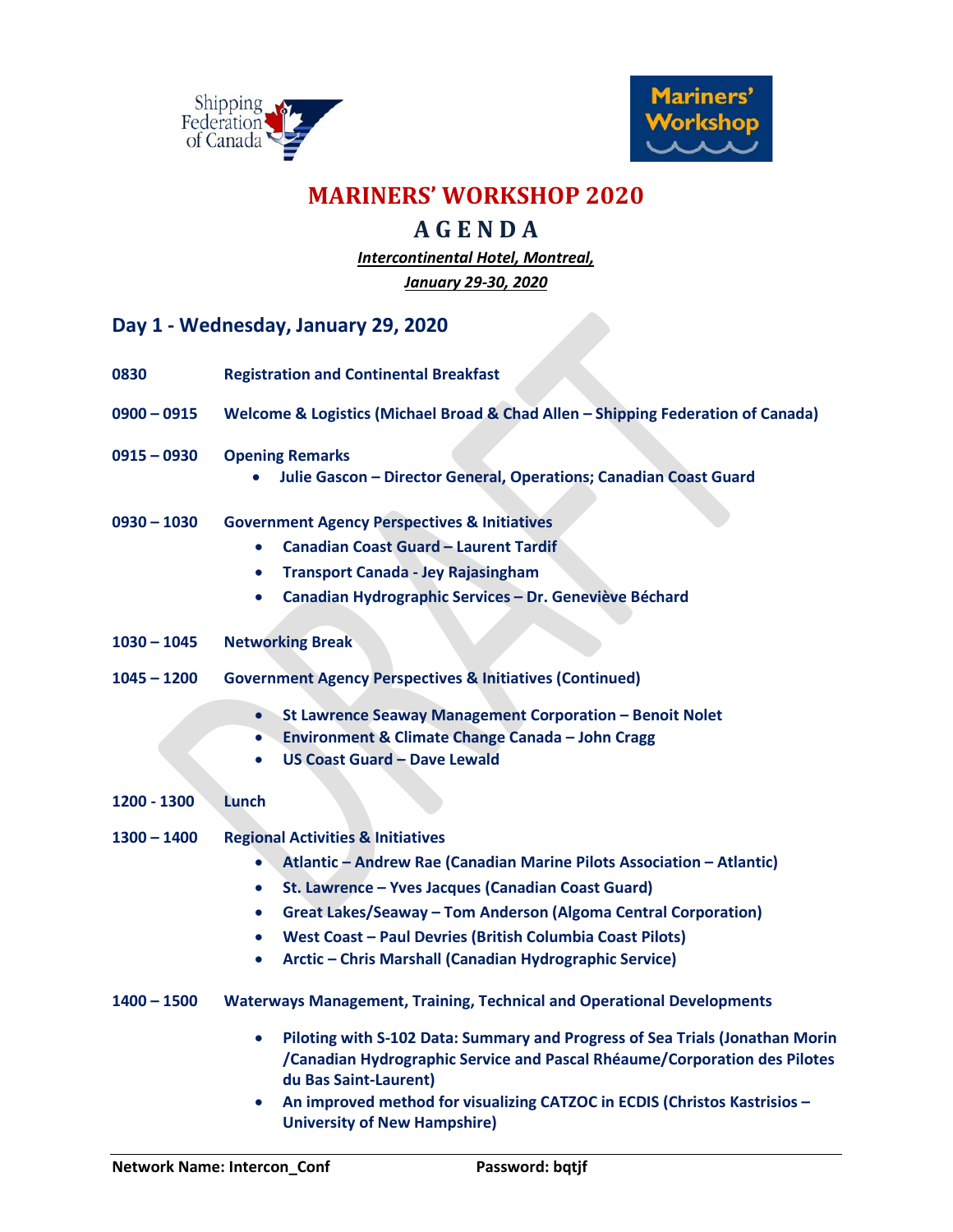



### **MARINERS' WORKSHOP 2020**

### **A G E N D A**

*Intercontinental Hotel, Montreal, January 29-30, 2020*

#### **Day 1 - Wednesday, January 29, 2020**

| 0830          | <b>Registration and Continental Breakfast</b>                                                                                                                                                                                                                                                                                                                                                                          |
|---------------|------------------------------------------------------------------------------------------------------------------------------------------------------------------------------------------------------------------------------------------------------------------------------------------------------------------------------------------------------------------------------------------------------------------------|
| $0900 - 0915$ | Welcome & Logistics (Michael Broad & Chad Allen - Shipping Federation of Canada)                                                                                                                                                                                                                                                                                                                                       |
| $0915 - 0930$ | <b>Opening Remarks</b><br>Julie Gascon - Director General, Operations; Canadian Coast Guard                                                                                                                                                                                                                                                                                                                            |
| $0930 - 1030$ | <b>Government Agency Perspectives &amp; Initiatives</b><br><b>Canadian Coast Guard - Laurent Tardif</b><br><b>Transport Canada - Jey Rajasingham</b><br>$\bullet$<br>Canadian Hydrographic Services - Dr. Geneviève Béchard<br>$\bullet$                                                                                                                                                                               |
| $1030 - 1045$ | <b>Networking Break</b>                                                                                                                                                                                                                                                                                                                                                                                                |
| $1045 - 1200$ | <b>Government Agency Perspectives &amp; Initiatives (Continued)</b>                                                                                                                                                                                                                                                                                                                                                    |
|               | St Lawrence Seaway Management Corporation - Benoit Nolet<br>$\bullet$<br><b>Environment &amp; Climate Change Canada - John Cragg</b><br>$\bullet$<br><b>US Coast Guard - Dave Lewald</b><br>$\bullet$                                                                                                                                                                                                                  |
| 1200 - 1300   | Lunch                                                                                                                                                                                                                                                                                                                                                                                                                  |
| $1300 - 1400$ | <b>Regional Activities &amp; Initiatives</b><br>Atlantic - Andrew Rae (Canadian Marine Pilots Association - Atlantic)<br>$\bullet$<br>St. Lawrence - Yves Jacques (Canadian Coast Guard)<br>٠<br>Great Lakes/Seaway - Tom Anderson (Algoma Central Corporation)<br>$\bullet$<br>West Coast - Paul Devries (British Columbia Coast Pilots)<br>٠<br>Arctic - Chris Marshall (Canadian Hydrographic Service)<br>$\bullet$ |
| 1400 - 1500   | <b>Waterways Management, Training, Technical and Operational Developments</b>                                                                                                                                                                                                                                                                                                                                          |
|               | Piloting with S-102 Data: Summary and Progress of Sea Trials (Jonathan Morin<br>٠<br>/Canadian Hydrographic Service and Pascal Rhéaume/Corporation des Pilotes<br>du Bas Saint-Laurent)<br>An improved method for visualizing CATZOC in ECDIS (Christos Kastrisios -                                                                                                                                                   |
|               | $\bullet$                                                                                                                                                                                                                                                                                                                                                                                                              |

**University of New Hampshire)**